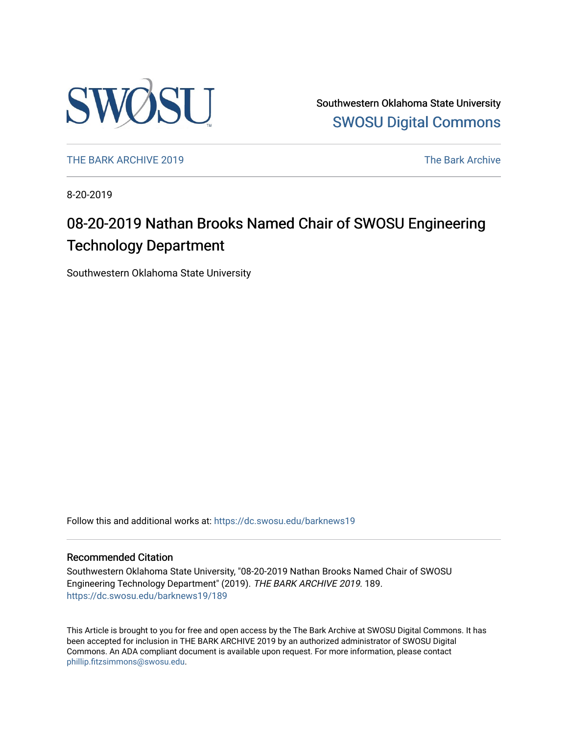

Southwestern Oklahoma State University [SWOSU Digital Commons](https://dc.swosu.edu/) 

[THE BARK ARCHIVE 2019](https://dc.swosu.edu/barknews19) The Bark Archive

8-20-2019

### 08-20-2019 Nathan Brooks Named Chair of SWOSU Engineering Technology Department

Southwestern Oklahoma State University

Follow this and additional works at: [https://dc.swosu.edu/barknews19](https://dc.swosu.edu/barknews19?utm_source=dc.swosu.edu%2Fbarknews19%2F189&utm_medium=PDF&utm_campaign=PDFCoverPages)

#### Recommended Citation

Southwestern Oklahoma State University, "08-20-2019 Nathan Brooks Named Chair of SWOSU Engineering Technology Department" (2019). THE BARK ARCHIVE 2019. 189. [https://dc.swosu.edu/barknews19/189](https://dc.swosu.edu/barknews19/189?utm_source=dc.swosu.edu%2Fbarknews19%2F189&utm_medium=PDF&utm_campaign=PDFCoverPages)

This Article is brought to you for free and open access by the The Bark Archive at SWOSU Digital Commons. It has been accepted for inclusion in THE BARK ARCHIVE 2019 by an authorized administrator of SWOSU Digital Commons. An ADA compliant document is available upon request. For more information, please contact [phillip.fitzsimmons@swosu.edu](mailto:phillip.fitzsimmons@swosu.edu).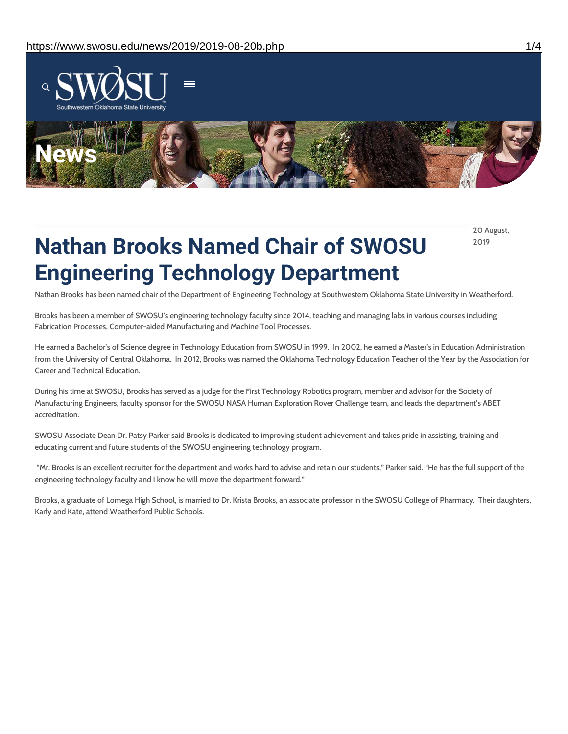

20 August, 2019

# **Nathan Brooks Named Chair of SWOSU Engineering Technology Department**

Nathan Brooks has been named chair of the Department of Engineering Technology at Southwestern Oklahoma State University in Weatherford.

Brooks has been a member of SWOSU's engineering technology faculty since 2014, teaching and managing labs in various courses including Fabrication Processes, Computer-aided Manufacturing and Machine Tool Processes.

He earned a Bachelor's of Science degree in Technology Education from SWOSU in 1999. In 2002, he earned a Master's in Education Administration from the University of Central Oklahoma. In 2012, Brooks was named the Oklahoma Technology Education Teacher of the Year by the Association for Career and Technical Education.

During his time at SWOSU, Brooks has served as a judge for the First Technology Robotics program, member and advisor for the Society of Manufacturing Engineers, faculty sponsor for the SWOSU NASA Human Exploration Rover Challenge team, and leads the department's ABET accreditation.

SWOSU Associate Dean Dr. Patsy Parker said Brooks is dedicated to improving student achievement and takes pride in assisting, training and educating current and future students of the SWOSU engineering technology program.

"Mr. Brooks is an excellent recruiter for the department and works hard to advise and retain our students," Parker said. "He has the full support of the engineering technology faculty and I know he will move the department forward."

Brooks, a graduate of Lomega High School, is married to Dr. Krista Brooks, an associate professor in the SWOSU College of Pharmacy. Their daughters, Karly and Kate, attend Weatherford Public Schools.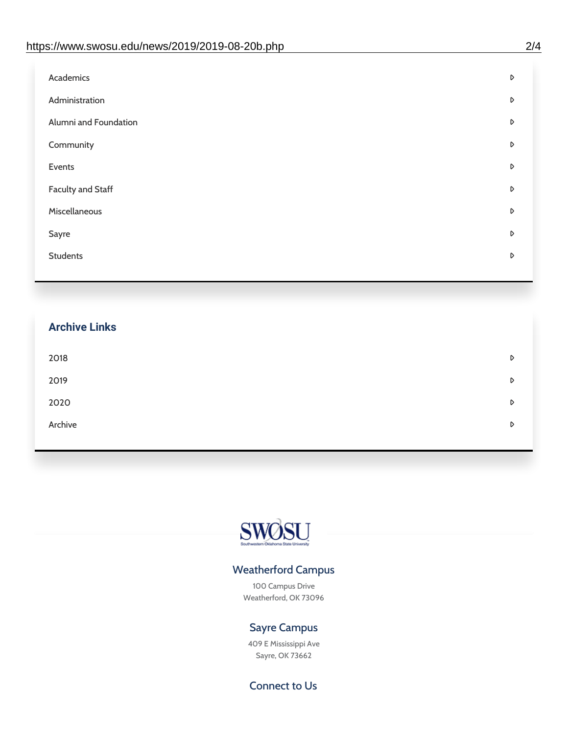| Administration<br>D<br>Alumni and Foundation<br>D<br>Community<br>D<br>Events<br>D | Academics | D |
|------------------------------------------------------------------------------------|-----------|---|
|                                                                                    |           |   |
|                                                                                    |           |   |
|                                                                                    |           |   |
|                                                                                    |           |   |
| <b>Faculty and Staff</b><br>D                                                      |           |   |
| Miscellaneous<br>D                                                                 |           |   |
| Sayre<br>D                                                                         |           |   |
| <b>Students</b><br>D                                                               |           |   |

## **Archive Links**  $2018$  $2019$ [2020](https://www.swosu.edu/news/2020/index.php)  $\bullet$ [Archive](https://dc.swosu.edu/bark/) **Archive Archive Archive Archive Archive** Archive Archive Archive Archive Archive Archive Archive Archive



### Weatherford Campus

100 Campus Drive Weatherford, OK 73096

### Sayre Campus

409 E Mississippi Ave Sayre, OK 73662

Connect to Us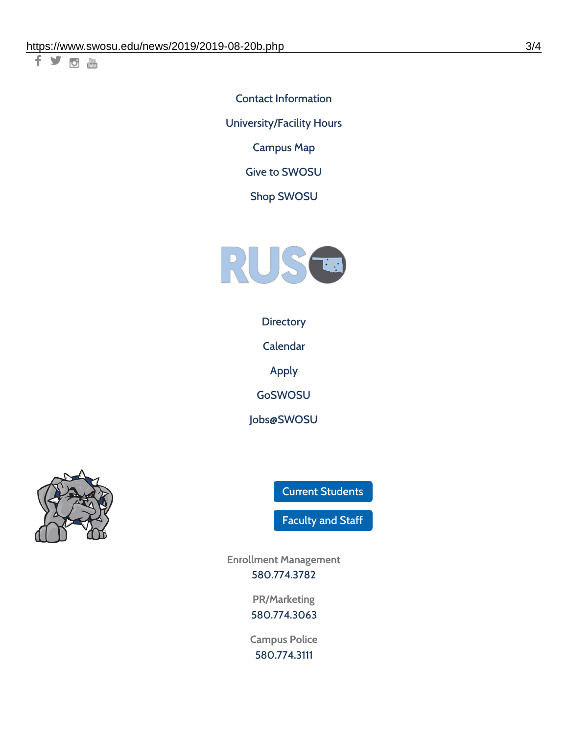千岁回调

Contact [Information](https://www.swosu.edu/about/contact.php) [University/Facility](https://www.swosu.edu/about/operating-hours.php) Hours [Campus](https://map.concept3d.com/?id=768#!ct/10964,10214,10213,10212,10205,10204,10203,10202,10136,10129,10128,0,31226,10130,10201,10641,0) Map

Give to [SWOSU](https://standingfirmly.com/donate)

Shop [SWOSU](https://shopswosu.merchorders.com/)



**[Directory](https://www.swosu.edu/directory/index.php)** 

[Calendar](https://eventpublisher.dudesolutions.com/swosu/)

[Apply](https://www.swosu.edu/admissions/apply-to-swosu.php)

[GoSWOSU](https://qlsso.quicklaunchsso.com/home/1267)

[Jobs@SWOSU](https://swosu.csod.com/ux/ats/careersite/1/home?c=swosu)



Current [Students](https://bulldog.swosu.edu/index.php)

[Faculty](https://bulldog.swosu.edu/faculty-staff/index.php) and Staff

**Enrollment Management** [580.774.3782](tel:5807743782)

> **PR/Marketing** [580.774.3063](tel:5807743063)

**Campus Police** [580.774.3111](tel:5807743111)